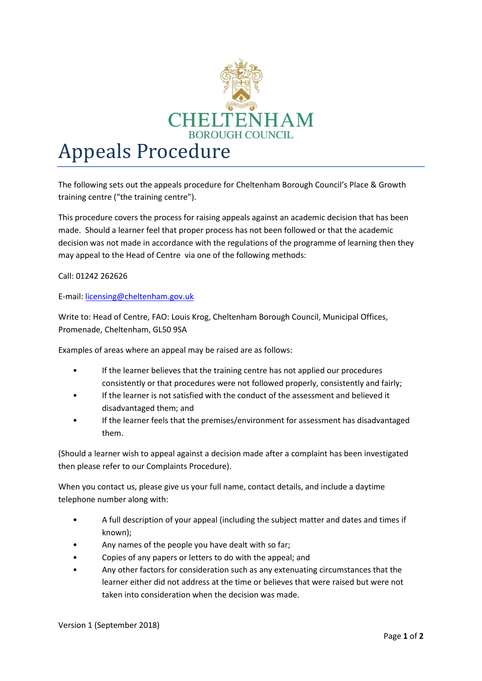

The following sets out the appeals procedure for Cheltenham Borough Council's Place & Growth training centre ("the training centre").

This procedure covers the process for raising appeals against an academic decision that has been made. Should a learner feel that proper process has not been followed or that the academic decision was not made in accordance with the regulations of the programme of learning then they may appeal to the Head of Centre via one of the following methods:

Call: 01242 262626

E-mail: [licensing@cheltenham.gov.uk](mailto:licensing@cheltenham.gov.uk)

Write to: Head of Centre, FAO: Louis Krog, Cheltenham Borough Council, Municipal Offices, Promenade, Cheltenham, GL50 9SA

Examples of areas where an appeal may be raised are as follows:

- If the learner believes that the training centre has not applied our procedures consistently or that procedures were not followed properly, consistently and fairly;
- If the learner is not satisfied with the conduct of the assessment and believed it disadvantaged them; and
- If the learner feels that the premises/environment for assessment has disadvantaged them.

(Should a learner wish to appeal against a decision made after a complaint has been investigated then please refer to our Complaints Procedure).

When you contact us, please give us your full name, contact details, and include a daytime telephone number along with:

- A full description of your appeal (including the subject matter and dates and times if known);
- Any names of the people you have dealt with so far;
- Copies of any papers or letters to do with the appeal; and
- Any other factors for consideration such as any extenuating circumstances that the learner either did not address at the time or believes that were raised but were not taken into consideration when the decision was made.